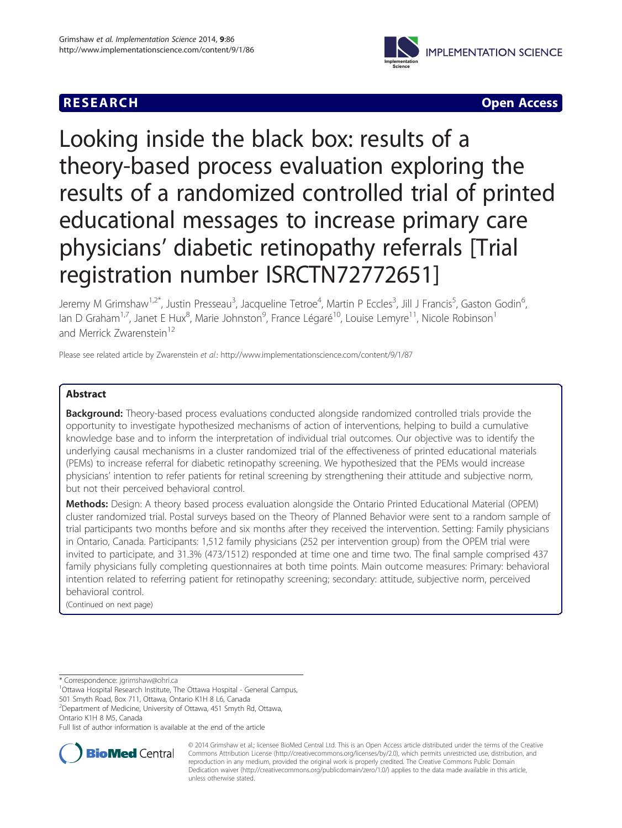## **RESEARCH RESEARCH** *CHECK <b>CHECK*



# Looking inside the black box: results of a theory-based process evaluation exploring the results of a randomized controlled trial of printed educational messages to increase primary care physicians' diabetic retinopathy referrals [Trial registration number ISRCTN72772651]

Jeremy M Grimshaw<sup>1,2\*</sup>, Justin Presseau<sup>3</sup>, Jacqueline Tetroe<sup>4</sup>, Martin P Eccles<sup>3</sup>, Jill J Francis<sup>5</sup>, Gaston Godin<sup>6</sup> י<br>, lan D Graham<sup>1,7</sup>, Janet E Hux<sup>8</sup>, Marie Johnston<sup>9</sup>, France Légaré<sup>10</sup>, Louise Lemyre<sup>11</sup>, Nicole Robinson<sup>1</sup> and Merrick Zwarenstein<sup>12</sup>

Please see related article by Zwarenstein et al.:<http://www.implementationscience.com/content/9/1/87>

## Abstract

**Background:** Theory-based process evaluations conducted alongside randomized controlled trials provide the opportunity to investigate hypothesized mechanisms of action of interventions, helping to build a cumulative knowledge base and to inform the interpretation of individual trial outcomes. Our objective was to identify the underlying causal mechanisms in a cluster randomized trial of the effectiveness of printed educational materials (PEMs) to increase referral for diabetic retinopathy screening. We hypothesized that the PEMs would increase physicians' intention to refer patients for retinal screening by strengthening their attitude and subjective norm, but not their perceived behavioral control.

Methods: Design: A theory based process evaluation alongside the Ontario Printed Educational Material (OPEM) cluster randomized trial. Postal surveys based on the Theory of Planned Behavior were sent to a random sample of trial participants two months before and six months after they received the intervention. Setting: Family physicians in Ontario, Canada. Participants: 1,512 family physicians (252 per intervention group) from the OPEM trial were invited to participate, and 31.3% (473/1512) responded at time one and time two. The final sample comprised 437 family physicians fully completing questionnaires at both time points. Main outcome measures: Primary: behavioral intention related to referring patient for retinopathy screening; secondary: attitude, subjective norm, perceived behavioral control.

(Continued on next page)

\* Correspondence: [jgrimshaw@ohri.ca](mailto:jgrimshaw@ohri.ca) <sup>1</sup>

<sup>1</sup>Ottawa Hospital Research Institute, The Ottawa Hospital - General Campus,

501 Smyth Road, Box 711, Ottawa, Ontario K1H 8 L6, Canada 2 Department of Medicine, University of Ottawa, 451 Smyth Rd, Ottawa,

Ontario K1H 8 M5, Canada

Full list of author information is available at the end of the article



© 2014 Grimshaw et al.; licensee BioMed Central Ltd. This is an Open Access article distributed under the terms of the Creative Commons Attribution License [\(http://creativecommons.org/licenses/by/2.0\)](http://creativecommons.org/licenses/by/2.0), which permits unrestricted use, distribution, and reproduction in any medium, provided the original work is properly credited. The Creative Commons Public Domain Dedication waiver [\(http://creativecommons.org/publicdomain/zero/1.0/](http://creativecommons.org/publicdomain/zero/1.0/)) applies to the data made available in this article, unless otherwise stated.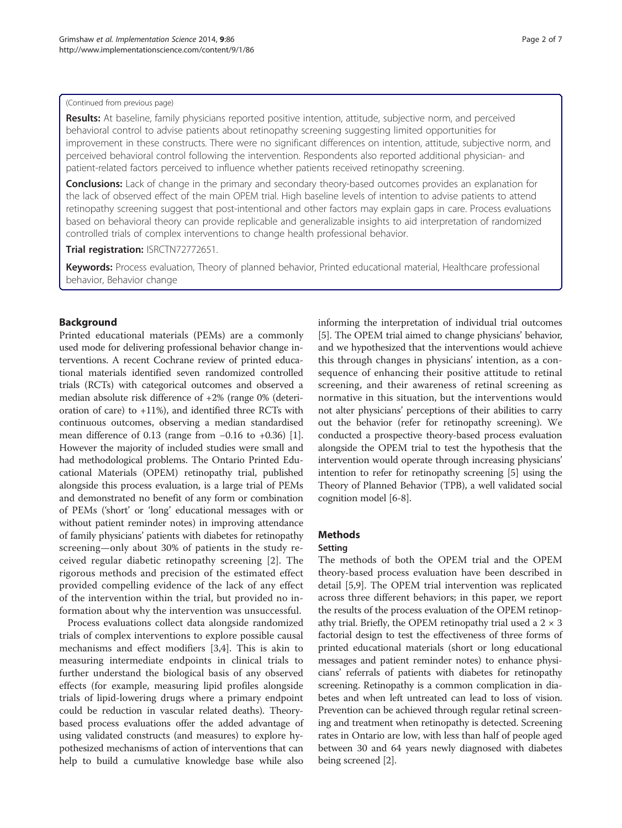#### (Continued from previous page)

Results: At baseline, family physicians reported positive intention, attitude, subjective norm, and perceived behavioral control to advise patients about retinopathy screening suggesting limited opportunities for improvement in these constructs. There were no significant differences on intention, attitude, subjective norm, and perceived behavioral control following the intervention. Respondents also reported additional physician- and patient-related factors perceived to influence whether patients received retinopathy screening.

**Conclusions:** Lack of change in the primary and secondary theory-based outcomes provides an explanation for the lack of observed effect of the main OPEM trial. High baseline levels of intention to advise patients to attend retinopathy screening suggest that post-intentional and other factors may explain gaps in care. Process evaluations based on behavioral theory can provide replicable and generalizable insights to aid interpretation of randomized controlled trials of complex interventions to change health professional behavior.

Trial registration: [ISRCTN72772651](http://www.controlled-trials.com/ISRCTN72772651).

Keywords: Process evaluation, Theory of planned behavior, Printed educational material, Healthcare professional behavior, Behavior change

## Background

Printed educational materials (PEMs) are a commonly used mode for delivering professional behavior change interventions. A recent Cochrane review of printed educational materials identified seven randomized controlled trials (RCTs) with categorical outcomes and observed a median absolute risk difference of +2% (range 0% (deterioration of care) to  $+11\%$ ), and identified three RCTs with continuous outcomes, observing a median standardised mean difference of 0.13 (range from −0.16 to +0.36) [[1](#page-5-0)]. However the majority of included studies were small and had methodological problems. The Ontario Printed Educational Materials (OPEM) retinopathy trial, published alongside this process evaluation, is a large trial of PEMs and demonstrated no benefit of any form or combination of PEMs ('short' or 'long' educational messages with or without patient reminder notes) in improving attendance of family physicians' patients with diabetes for retinopathy screening—only about 30% of patients in the study received regular diabetic retinopathy screening [[2\]](#page-5-0). The rigorous methods and precision of the estimated effect provided compelling evidence of the lack of any effect of the intervention within the trial, but provided no information about why the intervention was unsuccessful.

Process evaluations collect data alongside randomized trials of complex interventions to explore possible causal mechanisms and effect modifiers [[3,4\]](#page-6-0). This is akin to measuring intermediate endpoints in clinical trials to further understand the biological basis of any observed effects (for example, measuring lipid profiles alongside trials of lipid-lowering drugs where a primary endpoint could be reduction in vascular related deaths). Theorybased process evaluations offer the added advantage of using validated constructs (and measures) to explore hypothesized mechanisms of action of interventions that can help to build a cumulative knowledge base while also

informing the interpretation of individual trial outcomes [[5\]](#page-6-0). The OPEM trial aimed to change physicians' behavior, and we hypothesized that the interventions would achieve this through changes in physicians' intention, as a consequence of enhancing their positive attitude to retinal screening, and their awareness of retinal screening as normative in this situation, but the interventions would not alter physicians' perceptions of their abilities to carry out the behavior (refer for retinopathy screening). We conducted a prospective theory-based process evaluation alongside the OPEM trial to test the hypothesis that the intervention would operate through increasing physicians' intention to refer for retinopathy screening [\[5\]](#page-6-0) using the Theory of Planned Behavior (TPB), a well validated social cognition model [[6-8\]](#page-6-0).

## Methods

#### Setting

The methods of both the OPEM trial and the OPEM theory-based process evaluation have been described in detail [[5,9\]](#page-6-0). The OPEM trial intervention was replicated across three different behaviors; in this paper, we report the results of the process evaluation of the OPEM retinopathy trial. Briefly, the OPEM retinopathy trial used a  $2 \times 3$ factorial design to test the effectiveness of three forms of printed educational materials (short or long educational messages and patient reminder notes) to enhance physicians' referrals of patients with diabetes for retinopathy screening. Retinopathy is a common complication in diabetes and when left untreated can lead to loss of vision. Prevention can be achieved through regular retinal screening and treatment when retinopathy is detected. Screening rates in Ontario are low, with less than half of people aged between 30 and 64 years newly diagnosed with diabetes being screened [[2\]](#page-5-0).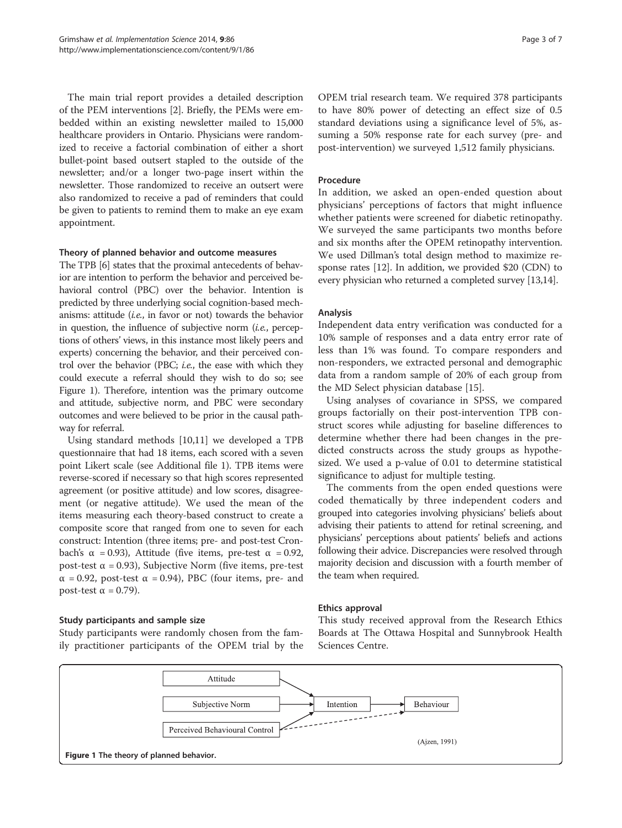The main trial report provides a detailed description of the PEM interventions [[2](#page-5-0)]. Briefly, the PEMs were embedded within an existing newsletter mailed to 15,000 healthcare providers in Ontario. Physicians were randomized to receive a factorial combination of either a short bullet-point based outsert stapled to the outside of the newsletter; and/or a longer two-page insert within the newsletter. Those randomized to receive an outsert were also randomized to receive a pad of reminders that could be given to patients to remind them to make an eye exam appointment.

#### Theory of planned behavior and outcome measures

The TPB [[6\]](#page-6-0) states that the proximal antecedents of behavior are intention to perform the behavior and perceived behavioral control (PBC) over the behavior. Intention is predicted by three underlying social cognition-based mechanisms: attitude (i.e., in favor or not) towards the behavior in question, the influence of subjective norm *(i.e., percep*tions of others' views, in this instance most likely peers and experts) concerning the behavior, and their perceived control over the behavior (PBC; *i.e.*, the ease with which they could execute a referral should they wish to do so; see Figure 1). Therefore, intention was the primary outcome and attitude, subjective norm, and PBC were secondary outcomes and were believed to be prior in the causal pathway for referral.

Using standard methods [[10](#page-6-0),[11](#page-6-0)] we developed a TPB questionnaire that had 18 items, each scored with a seven point Likert scale (see Additional file [1](#page-5-0)). TPB items were reverse-scored if necessary so that high scores represented agreement (or positive attitude) and low scores, disagreement (or negative attitude). We used the mean of the items measuring each theory-based construct to create a composite score that ranged from one to seven for each construct: Intention (three items; pre- and post-test Cronbach's α = 0.93), Attitude (five items, pre-test α = 0.92, post-test α = 0.93), Subjective Norm (five items, pre-test  $\alpha$  = 0.92, post-test  $\alpha$  = 0.94), PBC (four items, pre- and post-test  $\alpha$  = 0.79).

## Study participants and sample size

Study participants were randomly chosen from the family practitioner participants of the OPEM trial by the

OPEM trial research team. We required 378 participants to have 80% power of detecting an effect size of 0.5 standard deviations using a significance level of 5%, assuming a 50% response rate for each survey (pre- and post-intervention) we surveyed 1,512 family physicians.

#### Procedure

In addition, we asked an open-ended question about physicians' perceptions of factors that might influence whether patients were screened for diabetic retinopathy. We surveyed the same participants two months before and six months after the OPEM retinopathy intervention. We used Dillman's total design method to maximize response rates [[12](#page-6-0)]. In addition, we provided \$20 (CDN) to every physician who returned a completed survey [\[13,14](#page-6-0)].

#### Analysis

Independent data entry verification was conducted for a 10% sample of responses and a data entry error rate of less than 1% was found. To compare responders and non-responders, we extracted personal and demographic data from a random sample of 20% of each group from the MD Select physician database [[15\]](#page-6-0).

Using analyses of covariance in SPSS, we compared groups factorially on their post-intervention TPB construct scores while adjusting for baseline differences to determine whether there had been changes in the predicted constructs across the study groups as hypothesized. We used a p-value of 0.01 to determine statistical significance to adjust for multiple testing.

The comments from the open ended questions were coded thematically by three independent coders and grouped into categories involving physicians' beliefs about advising their patients to attend for retinal screening, and physicians' perceptions about patients' beliefs and actions following their advice. Discrepancies were resolved through majority decision and discussion with a fourth member of the team when required.

#### Ethics approval

This study received approval from the Research Ethics Boards at The Ottawa Hospital and Sunnybrook Health Sciences Centre.

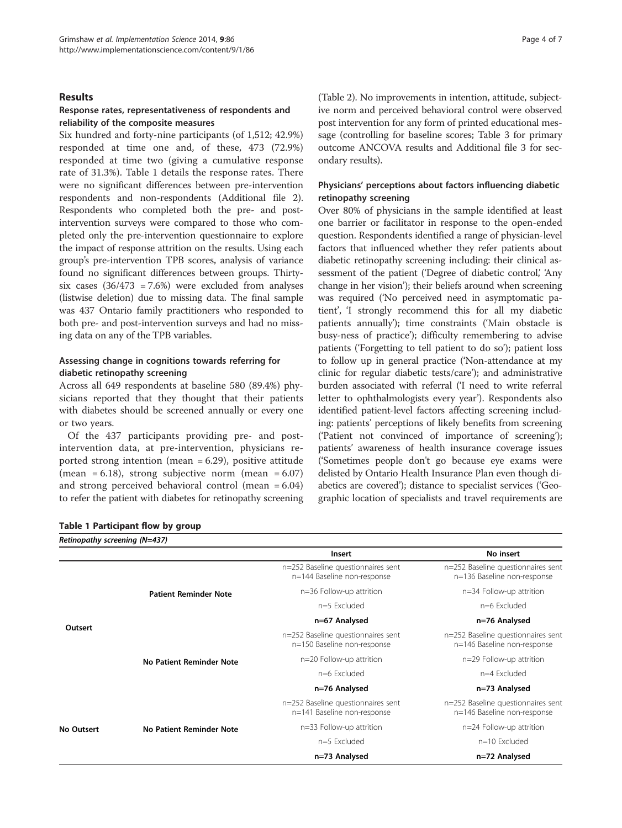#### Results

## Response rates, representativeness of respondents and reliability of the composite measures

Six hundred and forty-nine participants (of 1,512; 42.9%) responded at time one and, of these, 473 (72.9%) responded at time two (giving a cumulative response rate of 31.3%). Table 1 details the response rates. There were no significant differences between pre-intervention respondents and non-respondents (Additional file [2](#page-5-0)). Respondents who completed both the pre- and postintervention surveys were compared to those who completed only the pre-intervention questionnaire to explore the impact of response attrition on the results. Using each group's pre-intervention TPB scores, analysis of variance found no significant differences between groups. Thirtysix cases  $(36/473 = 7.6%)$  were excluded from analyses (listwise deletion) due to missing data. The final sample was 437 Ontario family practitioners who responded to both pre- and post-intervention surveys and had no missing data on any of the TPB variables.

## Assessing change in cognitions towards referring for diabetic retinopathy screening

Across all 649 respondents at baseline 580 (89.4%) physicians reported that they thought that their patients with diabetes should be screened annually or every one or two years.

Of the 437 participants providing pre- and postintervention data, at pre-intervention, physicians reported strong intention (mean  $= 6.29$ ), positive attitude (mean =  $6.18$ ), strong subjective norm (mean =  $6.07$ ) and strong perceived behavioral control (mean = 6.04) to refer the patient with diabetes for retinopathy screening

|  | Table 1 Participant flow by group |  |  |  |
|--|-----------------------------------|--|--|--|
|--|-----------------------------------|--|--|--|

(Table [2](#page-4-0)). No improvements in intention, attitude, subjective norm and perceived behavioral control were observed post intervention for any form of printed educational message (controlling for baseline scores; Table [3](#page-4-0) for primary outcome ANCOVA results and Additional file [3](#page-5-0) for secondary results).

## Physicians' perceptions about factors influencing diabetic retinopathy screening

Over 80% of physicians in the sample identified at least one barrier or facilitator in response to the open-ended question. Respondents identified a range of physician-level factors that influenced whether they refer patients about diabetic retinopathy screening including: their clinical assessment of the patient ('Degree of diabetic control', 'Any change in her vision'); their beliefs around when screening was required ('No perceived need in asymptomatic patient', 'I strongly recommend this for all my diabetic patients annually'); time constraints ('Main obstacle is busy-ness of practice'); difficulty remembering to advise patients ('Forgetting to tell patient to do so'); patient loss to follow up in general practice ('Non-attendance at my clinic for regular diabetic tests/care'); and administrative burden associated with referral ('I need to write referral letter to ophthalmologists every year'). Respondents also identified patient-level factors affecting screening including: patients' perceptions of likely benefits from screening ('Patient not convinced of importance of screening'); patients' awareness of health insurance coverage issues ('Sometimes people don't go because eye exams were delisted by Ontario Health Insurance Plan even though diabetics are covered'); distance to specialist services ('Geographic location of specialists and travel requirements are

| Retinopathy screening (N=437) |                              |                                                                   |                                                                   |  |  |  |  |  |
|-------------------------------|------------------------------|-------------------------------------------------------------------|-------------------------------------------------------------------|--|--|--|--|--|
|                               |                              | <b>Insert</b>                                                     | No insert                                                         |  |  |  |  |  |
|                               |                              | n=252 Baseline questionnaires sent<br>n=144 Baseline non-response | n=252 Baseline questionnaires sent<br>n=136 Baseline non-response |  |  |  |  |  |
| Outsert                       | <b>Patient Reminder Note</b> | n=36 Follow-up attrition                                          | n=34 Follow-up attrition                                          |  |  |  |  |  |
|                               |                              | $n=5$ Excluded                                                    | n=6 Excluded                                                      |  |  |  |  |  |
|                               |                              | n=67 Analysed                                                     | n=76 Analysed                                                     |  |  |  |  |  |
|                               |                              | n=252 Baseline questionnaires sent<br>n=150 Baseline non-response | n=252 Baseline questionnaires sent<br>n=146 Baseline non-response |  |  |  |  |  |
|                               | No Patient Reminder Note     | n=20 Follow-up attrition                                          | n=29 Follow-up attrition                                          |  |  |  |  |  |
|                               |                              | n=6 Excluded                                                      | n=4 Excluded                                                      |  |  |  |  |  |
|                               |                              | n=76 Analysed                                                     | n=73 Analysed                                                     |  |  |  |  |  |
| <b>No Outsert</b>             |                              | n=252 Baseline questionnaires sent<br>n=141 Baseline non-response | n=252 Baseline questionnaires sent<br>n=146 Baseline non-response |  |  |  |  |  |
|                               | No Patient Reminder Note     | n=33 Follow-up attrition                                          | n=24 Follow-up attrition                                          |  |  |  |  |  |
|                               |                              | $n=5$ Excluded                                                    | $n=10$ Excluded                                                   |  |  |  |  |  |
|                               |                              | n=73 Analysed                                                     | n=72 Analysed                                                     |  |  |  |  |  |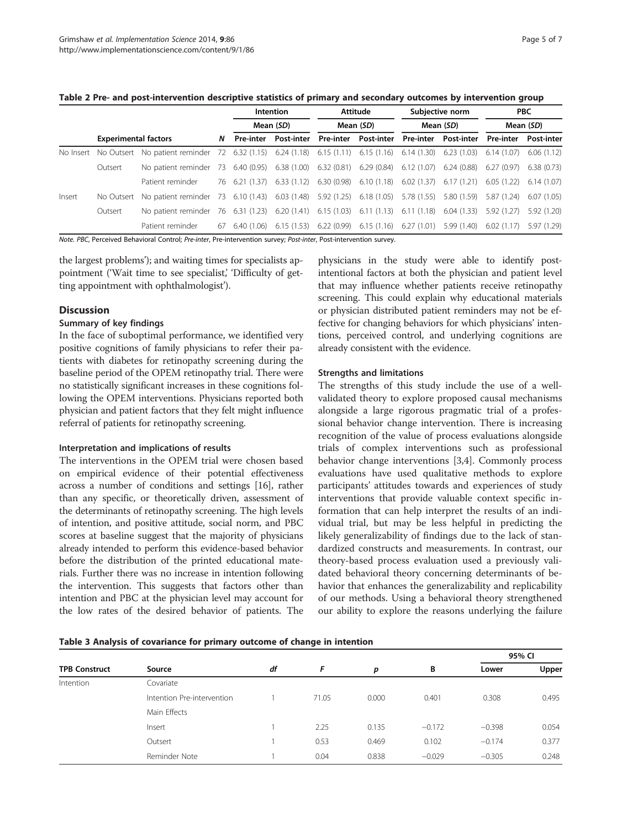#### <span id="page-4-0"></span>Table 2 Pre- and post-intervention descriptive statistics of primary and secondary outcomes by intervention group

|           |                             |                                                                                               |    |                  | Intention                              |  | Attitude                                            | Subjective norm |                           | <b>PBC</b>       |                           |
|-----------|-----------------------------|-----------------------------------------------------------------------------------------------|----|------------------|----------------------------------------|--|-----------------------------------------------------|-----------------|---------------------------|------------------|---------------------------|
|           |                             |                                                                                               |    |                  | Mean (SD)                              |  | Mean (SD)                                           | Mean (SD)       |                           | Mean (SD)        |                           |
|           | <b>Experimental factors</b> |                                                                                               |    | <b>Pre-inter</b> | <b>Post-inter</b>                      |  | Pre-inter Post-inter                                |                 | Pre-inter Post-inter      | <b>Pre-inter</b> | <b>Post-inter</b>         |
| No Insert |                             | No Outsert No patient reminder 72 6.32 (1.15) 6.24 (1.18) 6.15 (1.11) 6.15 (1.16) 6.14 (1.30) |    |                  |                                        |  |                                                     |                 | $6.23(1.03)$ $6.14(1.07)$ |                  | 6.06(1.12)                |
|           | Outsert                     | No patient reminder 73 6.40 (0.95)                                                            |    |                  | $6.38(1.00)$ $6.32(0.81)$ $6.29(0.84)$ |  |                                                     | 6.12(1.07)      | 6.24 (0.88) 6.27 (0.97)   |                  | 6.38 (0.73)               |
|           |                             | Patient reminder                                                                              |    | 76 6.21 (1.37)   | 6.33 (1.12)                            |  | $6.30(0.98)$ $6.10(1.18)$                           | 6.02(1.37)      | 6.17 (1.21)               |                  | $6.05(1.22)$ $6.14(1.07)$ |
| Insert    |                             | No Outsert No patient reminder 73 6.10 (1.43) 6.03 (1.48) 5.92 (1.25) 6.18 (1.05)             |    |                  |                                        |  |                                                     | 5.78 (1.55)     | 5.80 (1.59)               | 5.87 (1.24)      | 6.07(1.05)                |
|           | Outsert                     | No patient reminder 76 6.31 (1.23)                                                            |    |                  |                                        |  | $6.20(1.41)$ $6.15(1.03)$ $6.11(1.13)$ $6.11(1.18)$ |                 | 6.04 (1.33) 5.92 (1.27)   |                  | 5.92(1.20)                |
|           |                             | Patient reminder                                                                              | 6/ | 6.40 (1.06)      |                                        |  | $6.15(1.53)$ $6.22(0.99)$ $6.15(1.16)$              | 6.27(1.01)      | 5.99 (1.40) 6.02 (1.17)   |                  | 5.97 (1.29)               |

Note. PBC, Perceived Behavioral Control; Pre-inter, Pre-intervention survey; Post-inter, Post-intervention survey.

the largest problems'); and waiting times for specialists appointment ('Wait time to see specialist,' 'Difficulty of getting appointment with ophthalmologist').

## **Discussion**

## Summary of key findings

In the face of suboptimal performance, we identified very positive cognitions of family physicians to refer their patients with diabetes for retinopathy screening during the baseline period of the OPEM retinopathy trial. There were no statistically significant increases in these cognitions following the OPEM interventions. Physicians reported both physician and patient factors that they felt might influence referral of patients for retinopathy screening.

## Interpretation and implications of results

The interventions in the OPEM trial were chosen based on empirical evidence of their potential effectiveness across a number of conditions and settings [\[16\]](#page-6-0), rather than any specific, or theoretically driven, assessment of the determinants of retinopathy screening. The high levels of intention, and positive attitude, social norm, and PBC scores at baseline suggest that the majority of physicians already intended to perform this evidence-based behavior before the distribution of the printed educational materials. Further there was no increase in intention following the intervention. This suggests that factors other than intention and PBC at the physician level may account for the low rates of the desired behavior of patients. The

physicians in the study were able to identify postintentional factors at both the physician and patient level that may influence whether patients receive retinopathy screening. This could explain why educational materials or physician distributed patient reminders may not be effective for changing behaviors for which physicians' intentions, perceived control, and underlying cognitions are already consistent with the evidence.

#### Strengths and limitations

The strengths of this study include the use of a wellvalidated theory to explore proposed causal mechanisms alongside a large rigorous pragmatic trial of a professional behavior change intervention. There is increasing recognition of the value of process evaluations alongside trials of complex interventions such as professional behavior change interventions [\[3,4](#page-6-0)]. Commonly process evaluations have used qualitative methods to explore participants' attitudes towards and experiences of study interventions that provide valuable context specific information that can help interpret the results of an individual trial, but may be less helpful in predicting the likely generalizability of findings due to the lack of standardized constructs and measurements. In contrast, our theory-based process evaluation used a previously validated behavioral theory concerning determinants of behavior that enhances the generalizability and replicability of our methods. Using a behavioral theory strengthened our ability to explore the reasons underlying the failure

|  |  |  |  | Table 3 Analysis of covariance for primary outcome of change in intention |
|--|--|--|--|---------------------------------------------------------------------------|
|  |  |  |  |                                                                           |

|                      |                            |    |       |       |          | 95% CI   |       |  |
|----------------------|----------------------------|----|-------|-------|----------|----------|-------|--|
| <b>TPB Construct</b> | Source                     | df | F     | р     | B        | Lower    | Upper |  |
| Intention            | Covariate                  |    |       |       |          |          |       |  |
|                      | Intention Pre-intervention |    | 71.05 | 0.000 | 0.401    | 0.308    | 0.495 |  |
|                      | Main Effects               |    |       |       |          |          |       |  |
|                      | Insert                     |    | 2.25  | 0.135 | $-0.172$ | $-0.398$ | 0.054 |  |
|                      | Outsert                    |    | 0.53  | 0.469 | 0.102    | $-0.174$ | 0.377 |  |
|                      | Reminder Note              |    | 0.04  | 0.838 | $-0.029$ | $-0.305$ | 0.248 |  |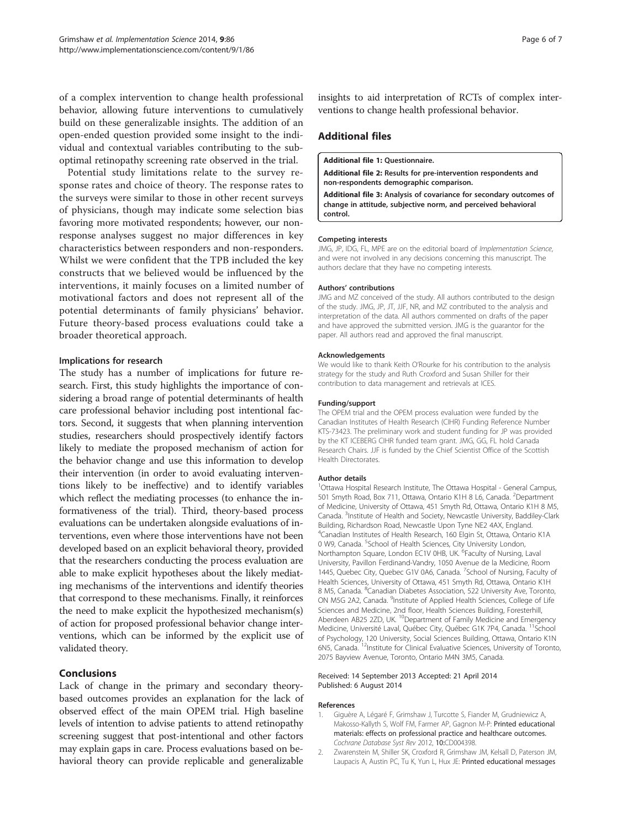<span id="page-5-0"></span>of a complex intervention to change health professional behavior, allowing future interventions to cumulatively build on these generalizable insights. The addition of an open-ended question provided some insight to the individual and contextual variables contributing to the suboptimal retinopathy screening rate observed in the trial.

Potential study limitations relate to the survey response rates and choice of theory. The response rates to the surveys were similar to those in other recent surveys of physicians, though may indicate some selection bias favoring more motivated respondents; however, our nonresponse analyses suggest no major differences in key characteristics between responders and non-responders. Whilst we were confident that the TPB included the key constructs that we believed would be influenced by the interventions, it mainly focuses on a limited number of motivational factors and does not represent all of the potential determinants of family physicians' behavior. Future theory-based process evaluations could take a broader theoretical approach.

#### Implications for research

The study has a number of implications for future research. First, this study highlights the importance of considering a broad range of potential determinants of health care professional behavior including post intentional factors. Second, it suggests that when planning intervention studies, researchers should prospectively identify factors likely to mediate the proposed mechanism of action for the behavior change and use this information to develop their intervention (in order to avoid evaluating interventions likely to be ineffective) and to identify variables which reflect the mediating processes (to enhance the informativeness of the trial). Third, theory-based process evaluations can be undertaken alongside evaluations of interventions, even where those interventions have not been developed based on an explicit behavioral theory, provided that the researchers conducting the process evaluation are able to make explicit hypotheses about the likely mediating mechanisms of the interventions and identify theories that correspond to these mechanisms. Finally, it reinforces the need to make explicit the hypothesized mechanism(s) of action for proposed professional behavior change interventions, which can be informed by the explicit use of validated theory.

## Conclusions

Lack of change in the primary and secondary theorybased outcomes provides an explanation for the lack of observed effect of the main OPEM trial. High baseline levels of intention to advise patients to attend retinopathy screening suggest that post-intentional and other factors may explain gaps in care. Process evaluations based on behavioral theory can provide replicable and generalizable

insights to aid interpretation of RCTs of complex interventions to change health professional behavior.

## Additional files

[Additional file 1:](http://www.biomedcentral.com/content/supplementary/1748-5908-9-86-S1.doc) Questionnaire.

[Additional file 2:](http://www.biomedcentral.com/content/supplementary/1748-5908-9-86-S2.doc) Results for pre-intervention respondents and non-respondents demographic comparison.

[Additional file 3:](http://www.biomedcentral.com/content/supplementary/1748-5908-9-86-S3.docx) Analysis of covariance for secondary outcomes of change in attitude, subjective norm, and perceived behavioral control.

#### Competing interests

JMG, JP, IDG, FL, MPE are on the editorial board of Implementation Science, and were not involved in any decisions concerning this manuscript. The authors declare that they have no competing interests.

#### Authors' contributions

JMG and MZ conceived of the study. All authors contributed to the design of the study. JMG, JP, JT, JJF, NR, and MZ contributed to the analysis and interpretation of the data. All authors commented on drafts of the paper and have approved the submitted version. JMG is the guarantor for the paper. All authors read and approved the final manuscript.

#### Acknowledgements

We would like to thank Keith O'Rourke for his contribution to the analysis strategy for the study and Ruth Croxford and Susan Shiller for their contribution to data management and retrievals at ICES.

#### Funding/support

The OPEM trial and the OPEM process evaluation were funded by the Canadian Institutes of Health Research (CIHR) Funding Reference Number KTS-73423. The preliminary work and student funding for JP was provided by the KT ICEBERG CIHR funded team grant. JMG, GG, FL hold Canada Research Chairs. JJF is funded by the Chief Scientist Office of the Scottish Health Directorates.

#### Author details

<sup>1</sup>Ottawa Hospital Research Institute, The Ottawa Hospital - General Campus, 501 Smyth Road, Box 711, Ottawa, Ontario K1H 8 L6, Canada. <sup>2</sup>Department of Medicine, University of Ottawa, 451 Smyth Rd, Ottawa, Ontario K1H 8 M5, Canada. <sup>3</sup>Institute of Health and Society, Newcastle University, Baddiley-Clark Building, Richardson Road, Newcastle Upon Tyne NE2 4AX, England. 4 Canadian Institutes of Health Research, 160 Elgin St, Ottawa, Ontario K1A 0 W9, Canada. <sup>5</sup>School of Health Sciences, City University London, Northampton Square, London EC1V 0HB, UK. <sup>6</sup>Faculty of Nursing, Laval University, Pavillon Ferdinand-Vandry, 1050 Avenue de la Medicine, Room 1445, Quebec City, Quebec G1V 0A6, Canada. <sup>7</sup>School of Nursing, Faculty of Health Sciences, University of Ottawa, 451 Smyth Rd, Ottawa, Ontario K1H 8 M5, Canada. <sup>8</sup>Canadian Diabetes Association, 522 University Ave, Toronto, ON M5G 2A2, Canada. <sup>9</sup>Institute of Applied Health Sciences, College of Life Sciences and Medicine, 2nd floor, Health Sciences Building, Foresterhill, Aberdeen AB25 2ZD, UK.<sup>10</sup>Department of Family Medicine and Emergency Medicine, Université Laval, Québec City, Québec G1K 7P4, Canada. <sup>11</sup>School of Psychology, 120 University, Social Sciences Building, Ottawa, Ontario K1N 6N5, Canada. 12Institute for Clinical Evaluative Sciences, University of Toronto, 2075 Bayview Avenue, Toronto, Ontario M4N 3M5, Canada.

#### Received: 14 September 2013 Accepted: 21 April 2014 Published: 6 August 2014

#### References

- 1. Giguère A, Légaré F, Grimshaw J, Turcotte S, Fiander M, Grudniewicz A, Makosso-Kallyth S, Wolf FM, Farmer AP, Gagnon M-P: Printed educational materials: effects on professional practice and healthcare outcomes. Cochrane Database Syst Rev 2012, 10:CD004398.
- 2. Zwarenstein M, Shiller SK, Croxford R, Grimshaw JM, Kelsall D, Paterson JM, Laupacis A, Austin PC, Tu K, Yun L, Hux JE: Printed educational messages